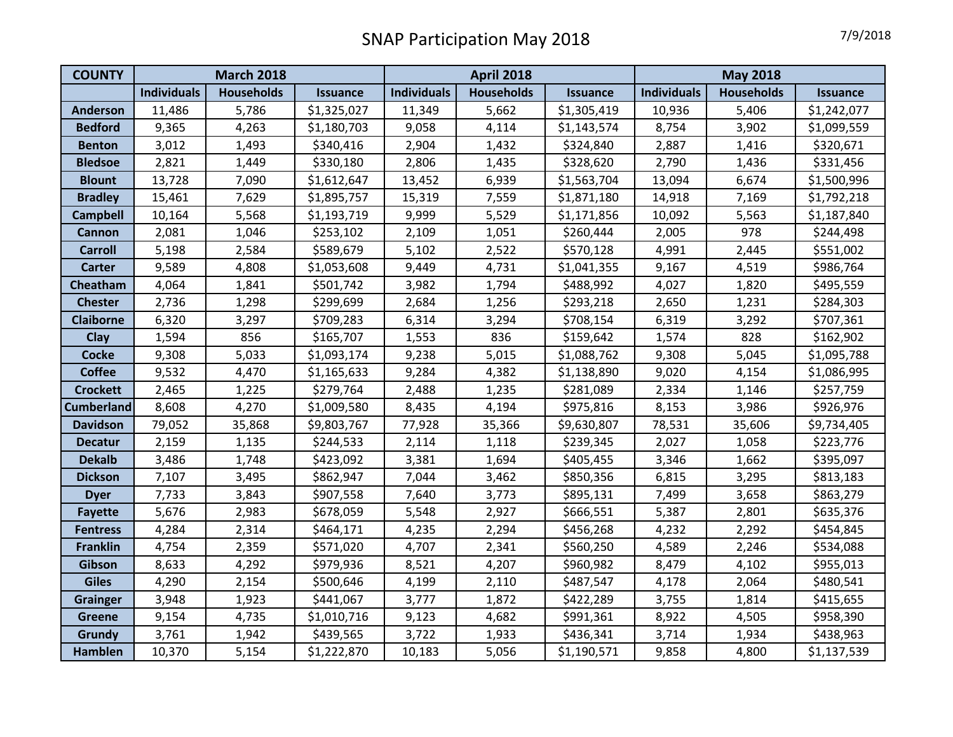| <b>COUNTY</b>     | <b>March 2018</b>  |                   |                 | <b>April 2018</b>  |                   |                 | <b>May 2018</b>    |                   |                 |
|-------------------|--------------------|-------------------|-----------------|--------------------|-------------------|-----------------|--------------------|-------------------|-----------------|
|                   | <b>Individuals</b> | <b>Households</b> | <b>Issuance</b> | <b>Individuals</b> | <b>Households</b> | <b>Issuance</b> | <b>Individuals</b> | <b>Households</b> | <b>Issuance</b> |
| <b>Anderson</b>   | 11,486             | 5,786             | \$1,325,027     | 11,349             | 5,662             | \$1,305,419     | 10,936             | 5,406             | \$1,242,077     |
| <b>Bedford</b>    | 9,365              | 4,263             | \$1,180,703     | 9,058              | 4,114             | \$1,143,574     | 8,754              | 3,902             | \$1,099,559     |
| <b>Benton</b>     | 3,012              | 1,493             | \$340,416       | 2,904              | 1,432             | \$324,840       | 2,887              | 1,416             | \$320,671       |
| <b>Bledsoe</b>    | 2,821              | 1,449             | \$330,180       | 2,806              | 1,435             | \$328,620       | 2,790              | 1,436             | \$331,456       |
| <b>Blount</b>     | 13,728             | 7,090             | \$1,612,647     | 13,452             | 6,939             | \$1,563,704     | 13,094             | 6,674             | \$1,500,996     |
| <b>Bradley</b>    | 15,461             | 7,629             | \$1,895,757     | 15,319             | 7,559             | \$1,871,180     | 14,918             | 7,169             | \$1,792,218     |
| <b>Campbell</b>   | 10,164             | 5,568             | \$1,193,719     | 9,999              | 5,529             | \$1,171,856     | 10,092             | 5,563             | \$1,187,840     |
| Cannon            | 2,081              | 1,046             | \$253,102       | 2,109              | 1,051             | \$260,444       | 2,005              | 978               | \$244,498       |
| <b>Carroll</b>    | 5,198              | 2,584             | \$589,679       | 5,102              | 2,522             | \$570,128       | 4,991              | 2,445             | \$551,002       |
| <b>Carter</b>     | 9,589              | 4,808             | \$1,053,608     | 9,449              | 4,731             | \$1,041,355     | 9,167              | 4,519             | \$986,764       |
| Cheatham          | 4,064              | 1,841             | \$501,742       | 3,982              | 1,794             | \$488,992       | 4,027              | 1,820             | \$495,559       |
| <b>Chester</b>    | 2,736              | 1,298             | \$299,699       | 2,684              | 1,256             | \$293,218       | 2,650              | 1,231             | \$284,303       |
| <b>Claiborne</b>  | 6,320              | 3,297             | \$709,283       | 6,314              | 3,294             | \$708,154       | 6,319              | 3,292             | \$707,361       |
| Clay              | 1,594              | 856               | \$165,707       | 1,553              | 836               | \$159,642       | 1,574              | 828               | \$162,902       |
| <b>Cocke</b>      | 9,308              | 5,033             | \$1,093,174     | 9,238              | 5,015             | \$1,088,762     | 9,308              | 5,045             | \$1,095,788     |
| <b>Coffee</b>     | 9,532              | 4,470             | \$1,165,633     | 9,284              | 4,382             | \$1,138,890     | 9,020              | 4,154             | \$1,086,995     |
| <b>Crockett</b>   | 2,465              | 1,225             | \$279,764       | 2,488              | 1,235             | \$281,089       | 2,334              | 1,146             | \$257,759       |
| <b>Cumberland</b> | 8,608              | 4,270             | \$1,009,580     | 8,435              | 4,194             | \$975,816       | 8,153              | 3,986             | \$926,976       |
| <b>Davidson</b>   | 79,052             | 35,868            | \$9,803,767     | 77,928             | 35,366            | \$9,630,807     | 78,531             | 35,606            | \$9,734,405     |
| <b>Decatur</b>    | 2,159              | 1,135             | \$244,533       | 2,114              | 1,118             | \$239,345       | 2,027              | 1,058             | \$223,776       |
| <b>Dekalb</b>     | 3,486              | 1,748             | \$423,092       | 3,381              | 1,694             | \$405,455       | 3,346              | 1,662             | \$395,097       |
| <b>Dickson</b>    | 7,107              | 3,495             | \$862,947       | 7,044              | 3,462             | \$850,356       | 6,815              | 3,295             | \$813,183       |
| <b>Dyer</b>       | 7,733              | 3,843             | \$907,558       | 7,640              | 3,773             | \$895,131       | 7,499              | 3,658             | \$863,279       |
| <b>Fayette</b>    | 5,676              | 2,983             | \$678,059       | 5,548              | 2,927             | \$666,551       | 5,387              | 2,801             | \$635,376       |
| <b>Fentress</b>   | 4,284              | 2,314             | \$464,171       | 4,235              | 2,294             | \$456,268       | 4,232              | 2,292             | \$454,845       |
| <b>Franklin</b>   | 4,754              | 2,359             | \$571,020       | 4,707              | 2,341             | \$560,250       | 4,589              | 2,246             | \$534,088       |
| Gibson            | 8,633              | 4,292             | \$979,936       | 8,521              | 4,207             | \$960,982       | 8,479              | 4,102             | \$955,013       |
| <b>Giles</b>      | 4,290              | 2,154             | \$500,646       | 4,199              | 2,110             | \$487,547       | 4,178              | 2,064             | \$480,541       |
| <b>Grainger</b>   | 3,948              | 1,923             | \$441,067       | 3,777              | 1,872             | \$422,289       | 3,755              | 1,814             | \$415,655       |
| <b>Greene</b>     | 9,154              | 4,735             | \$1,010,716     | 9,123              | 4,682             | \$991,361       | 8,922              | 4,505             | \$958,390       |
| Grundy            | 3,761              | 1,942             | \$439,565       | 3,722              | 1,933             | \$436,341       | 3,714              | 1,934             | \$438,963       |
| <b>Hamblen</b>    | 10,370             | 5,154             | \$1,222,870     | 10,183             | 5,056             | \$1,190,571     | 9,858              | 4,800             | \$1,137,539     |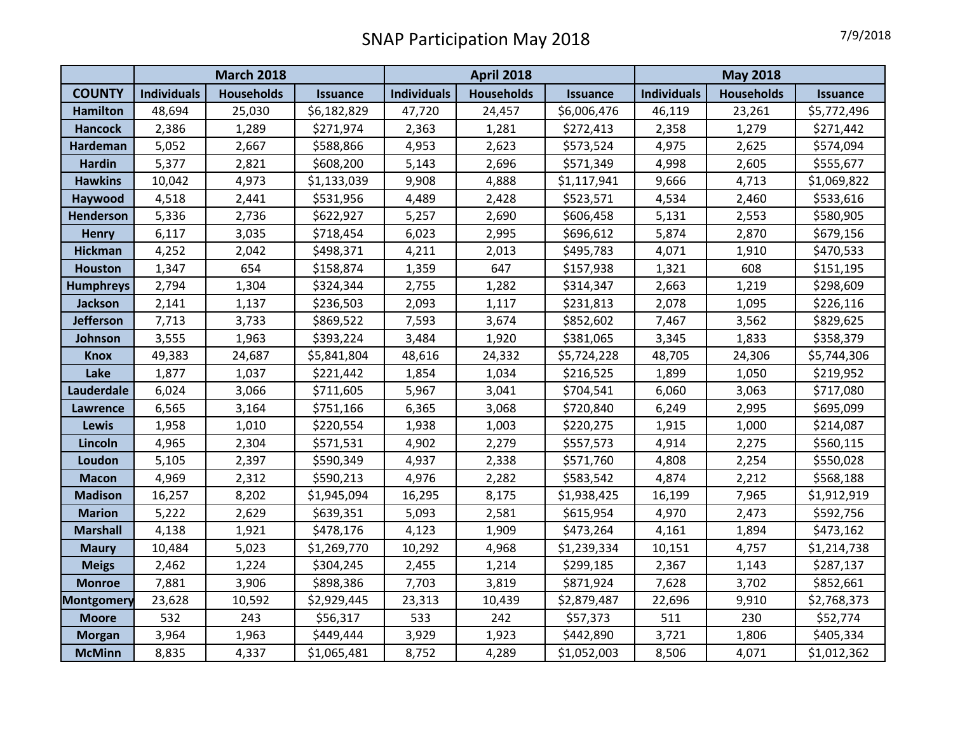|                   | <b>March 2018</b>  |                   |                 | <b>April 2018</b>  |                   |                 | <b>May 2018</b>    |                   |                 |
|-------------------|--------------------|-------------------|-----------------|--------------------|-------------------|-----------------|--------------------|-------------------|-----------------|
| <b>COUNTY</b>     | <b>Individuals</b> | <b>Households</b> | <b>Issuance</b> | <b>Individuals</b> | <b>Households</b> | <b>Issuance</b> | <b>Individuals</b> | <b>Households</b> | <b>Issuance</b> |
| <b>Hamilton</b>   | 48,694             | 25,030            | \$6,182,829     | 47,720             | 24,457            | \$6,006,476     | 46,119             | 23,261            | \$5,772,496     |
| <b>Hancock</b>    | 2,386              | 1,289             | \$271,974       | 2,363              | 1,281             | \$272,413       | 2,358              | 1,279             | \$271,442       |
| <b>Hardeman</b>   | 5,052              | 2,667             | \$588,866       | 4,953              | 2,623             | \$573,524       | 4,975              | 2,625             | \$574,094       |
| <b>Hardin</b>     | 5,377              | 2,821             | \$608,200       | 5,143              | 2,696             | \$571,349       | 4,998              | 2,605             | \$555,677       |
| <b>Hawkins</b>    | 10,042             | 4,973             | \$1,133,039     | 9,908              | 4,888             | \$1,117,941     | 9,666              | 4,713             | \$1,069,822     |
| Haywood           | 4,518              | 2,441             | \$531,956       | 4,489              | 2,428             | \$523,571       | 4,534              | 2,460             | \$533,616       |
| Henderson         | 5,336              | 2,736             | \$622,927       | 5,257              | 2,690             | \$606,458       | 5,131              | 2,553             | \$580,905       |
| <b>Henry</b>      | 6,117              | 3,035             | \$718,454       | 6,023              | 2,995             | \$696,612       | 5,874              | 2,870             | \$679,156       |
| <b>Hickman</b>    | 4,252              | 2,042             | \$498,371       | 4,211              | 2,013             | \$495,783       | 4,071              | 1,910             | \$470,533       |
| <b>Houston</b>    | 1,347              | 654               | \$158,874       | 1,359              | 647               | \$157,938       | 1,321              | 608               | \$151,195       |
| <b>Humphreys</b>  | 2,794              | 1,304             | \$324,344       | 2,755              | 1,282             | \$314,347       | 2,663              | 1,219             | \$298,609       |
| Jackson           | 2,141              | 1,137             | \$236,503       | 2,093              | 1,117             | \$231,813       | 2,078              | 1,095             | \$226,116       |
| <b>Jefferson</b>  | 7,713              | 3,733             | \$869,522       | 7,593              | 3,674             | \$852,602       | 7,467              | 3,562             | \$829,625       |
| Johnson           | 3,555              | 1,963             | \$393,224       | 3,484              | 1,920             | \$381,065       | 3,345              | 1,833             | \$358,379       |
| <b>Knox</b>       | 49,383             | 24,687            | \$5,841,804     | 48,616             | 24,332            | \$5,724,228     | 48,705             | 24,306            | \$5,744,306     |
| Lake              | 1,877              | 1,037             | \$221,442       | 1,854              | 1,034             | \$216,525       | 1,899              | 1,050             | \$219,952       |
| Lauderdale        | 6,024              | 3,066             | \$711,605       | 5,967              | 3,041             | \$704,541       | 6,060              | 3,063             | \$717,080       |
| <b>Lawrence</b>   | 6,565              | 3,164             | \$751,166       | 6,365              | 3,068             | \$720,840       | 6,249              | 2,995             | \$695,099       |
| <b>Lewis</b>      | 1,958              | 1,010             | \$220,554       | 1,938              | 1,003             | \$220,275       | 1,915              | 1,000             | \$214,087       |
| Lincoln           | 4,965              | 2,304             | \$571,531       | 4,902              | 2,279             | \$557,573       | 4,914              | 2,275             | \$560,115       |
| Loudon            | 5,105              | 2,397             | \$590,349       | 4,937              | 2,338             | \$571,760       | 4,808              | 2,254             | \$550,028       |
| <b>Macon</b>      | 4,969              | 2,312             | \$590,213       | 4,976              | 2,282             | \$583,542       | 4,874              | 2,212             | \$568,188       |
| <b>Madison</b>    | 16,257             | 8,202             | \$1,945,094     | 16,295             | 8,175             | \$1,938,425     | 16,199             | 7,965             | \$1,912,919     |
| <b>Marion</b>     | 5,222              | 2,629             | \$639,351       | 5,093              | 2,581             | \$615,954       | 4,970              | 2,473             | \$592,756       |
| <b>Marshall</b>   | 4,138              | 1,921             | \$478,176       | 4,123              | 1,909             | \$473,264       | 4,161              | 1,894             | \$473,162       |
| <b>Maury</b>      | 10,484             | 5,023             | \$1,269,770     | 10,292             | 4,968             | \$1,239,334     | 10,151             | 4,757             | \$1,214,738     |
| <b>Meigs</b>      | 2,462              | 1,224             | \$304,245       | 2,455              | 1,214             | \$299,185       | 2,367              | 1,143             | \$287,137       |
| <b>Monroe</b>     | 7,881              | 3,906             | \$898,386       | 7,703              | 3,819             | \$871,924       | 7,628              | 3,702             | \$852,661       |
| <b>Montgomery</b> | 23,628             | 10,592            | \$2,929,445     | 23,313             | 10,439            | \$2,879,487     | 22,696             | 9,910             | \$2,768,373     |
| <b>Moore</b>      | 532                | 243               | \$56,317        | 533                | 242               | \$57,373        | 511                | 230               | \$52,774        |
| <b>Morgan</b>     | 3,964              | 1,963             | \$449,444       | 3,929              | 1,923             | \$442,890       | 3,721              | 1,806             | \$405,334       |
| <b>McMinn</b>     | 8,835              | 4,337             | \$1,065,481     | 8,752              | 4,289             | \$1,052,003     | 8,506              | 4,071             | \$1,012,362     |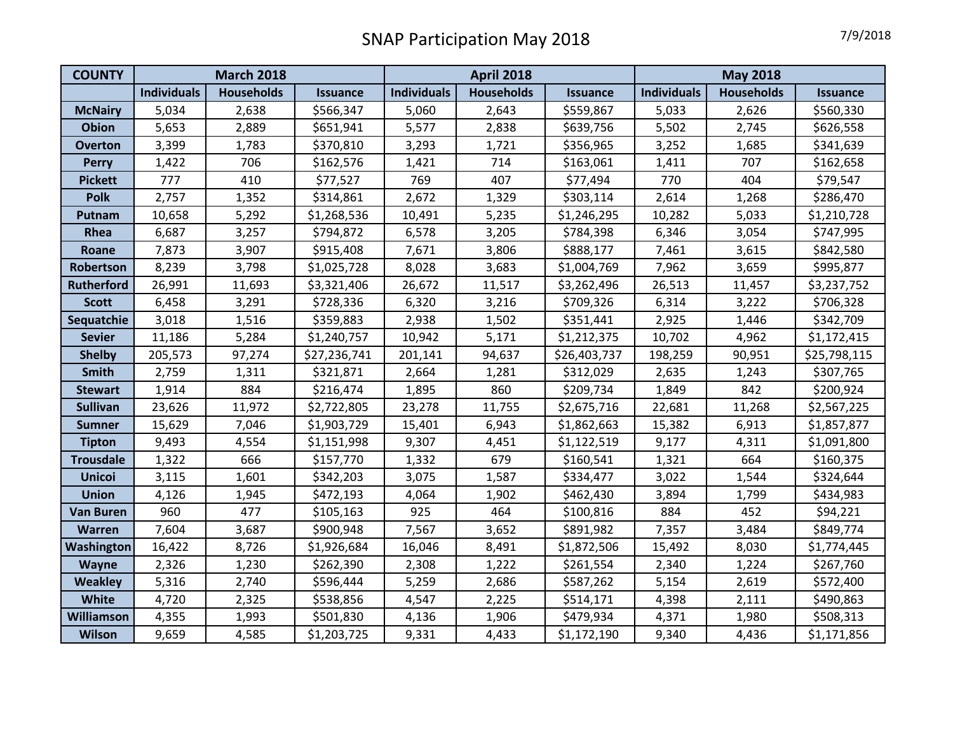| <b>COUNTY</b>     | <b>March 2018</b>  |                   |                 | <b>April 2018</b>  |                   |                 | <b>May 2018</b>    |                   |                 |
|-------------------|--------------------|-------------------|-----------------|--------------------|-------------------|-----------------|--------------------|-------------------|-----------------|
|                   | <b>Individuals</b> | <b>Households</b> | <b>Issuance</b> | <b>Individuals</b> | <b>Households</b> | <b>Issuance</b> | <b>Individuals</b> | <b>Households</b> | <b>Issuance</b> |
| <b>McNairy</b>    | 5,034              | 2,638             | \$566,347       | 5,060              | 2,643             | \$559,867       | 5,033              | 2,626             | \$560,330       |
| <b>Obion</b>      | 5,653              | 2,889             | \$651,941       | 5,577              | 2,838             | \$639,756       | 5,502              | 2,745             | \$626,558       |
| <b>Overton</b>    | 3,399              | 1,783             | \$370,810       | 3,293              | 1,721             | \$356,965       | 3,252              | 1,685             | \$341,639       |
| <b>Perry</b>      | 1,422              | 706               | \$162,576       | 1,421              | 714               | \$163,061       | 1,411              | 707               | \$162,658       |
| <b>Pickett</b>    | 777                | 410               | \$77,527        | 769                | 407               | \$77,494        | 770                | 404               | \$79,547        |
| Polk              | 2,757              | 1,352             | \$314,861       | 2,672              | 1,329             | \$303,114       | 2,614              | 1,268             | \$286,470       |
| Putnam            | 10,658             | 5,292             | \$1,268,536     | 10,491             | 5,235             | \$1,246,295     | 10,282             | 5,033             | \$1,210,728     |
| Rhea              | 6,687              | 3,257             | \$794,872       | 6,578              | 3,205             | \$784,398       | 6,346              | 3,054             | \$747,995       |
| Roane             | 7,873              | 3,907             | \$915,408       | 7,671              | 3,806             | \$888,177       | 7,461              | 3,615             | \$842,580       |
| Robertson         | 8,239              | 3,798             | \$1,025,728     | 8,028              | 3,683             | \$1,004,769     | 7,962              | 3,659             | \$995,877       |
| <b>Rutherford</b> | 26,991             | 11,693            | \$3,321,406     | 26,672             | 11,517            | \$3,262,496     | 26,513             | 11,457            | \$3,237,752     |
| <b>Scott</b>      | 6,458              | 3,291             | \$728,336       | 6,320              | 3,216             | \$709,326       | 6,314              | 3,222             | \$706,328       |
| Sequatchie        | 3,018              | 1,516             | \$359,883       | 2,938              | 1,502             | \$351,441       | 2,925              | 1,446             | \$342,709       |
| <b>Sevier</b>     | 11,186             | 5,284             | \$1,240,757     | 10,942             | 5,171             | \$1,212,375     | 10,702             | 4,962             | \$1,172,415     |
| <b>Shelby</b>     | 205,573            | 97,274            | \$27,236,741    | 201,141            | 94,637            | \$26,403,737    | 198,259            | 90,951            | \$25,798,115    |
| Smith             | 2,759              | 1,311             | \$321,871       | 2,664              | 1,281             | \$312,029       | 2,635              | 1,243             | \$307,765       |
| <b>Stewart</b>    | 1,914              | 884               | \$216,474       | 1,895              | 860               | \$209,734       | 1,849              | 842               | \$200,924       |
| <b>Sullivan</b>   | 23,626             | 11,972            | \$2,722,805     | 23,278             | 11,755            | \$2,675,716     | 22,681             | 11,268            | \$2,567,225     |
| <b>Sumner</b>     | 15,629             | 7,046             | \$1,903,729     | 15,401             | 6,943             | \$1,862,663     | 15,382             | 6,913             | \$1,857,877     |
| <b>Tipton</b>     | 9,493              | 4,554             | \$1,151,998     | 9,307              | 4,451             | \$1,122,519     | 9,177              | 4,311             | \$1,091,800     |
| <b>Trousdale</b>  | 1,322              | 666               | \$157,770       | 1,332              | 679               | \$160,541       | 1,321              | 664               | \$160,375       |
| <b>Unicoi</b>     | 3,115              | 1,601             | \$342,203       | 3,075              | 1,587             | \$334,477       | 3,022              | 1,544             | \$324,644       |
| <b>Union</b>      | 4,126              | 1,945             | \$472,193       | 4,064              | 1,902             | \$462,430       | 3,894              | 1,799             | \$434,983       |
| <b>Van Buren</b>  | 960                | 477               | \$105,163       | 925                | 464               | \$100,816       | 884                | 452               | \$94,221        |
| <b>Warren</b>     | 7,604              | 3,687             | \$900,948       | 7,567              | 3,652             | \$891,982       | 7,357              | 3,484             | \$849,774       |
| Washington        | 16,422             | 8,726             | \$1,926,684     | 16,046             | 8,491             | \$1,872,506     | 15,492             | 8,030             | \$1,774,445     |
| Wayne             | 2,326              | 1,230             | \$262,390       | 2,308              | 1,222             | \$261,554       | 2,340              | 1,224             | \$267,760       |
| <b>Weakley</b>    | 5,316              | 2,740             | \$596,444       | 5,259              | 2,686             | \$587,262       | 5,154              | 2,619             | \$572,400       |
| White             | 4,720              | 2,325             | \$538,856       | 4,547              | 2,225             | \$514,171       | 4,398              | 2,111             | \$490,863       |
| Williamson        | 4,355              | 1,993             | \$501,830       | 4,136              | 1,906             | \$479,934       | 4,371              | 1,980             | \$508,313       |
| <b>Wilson</b>     | 9,659              | 4,585             | \$1,203,725     | 9,331              | 4,433             | \$1,172,190     | 9,340              | 4,436             | \$1,171,856     |